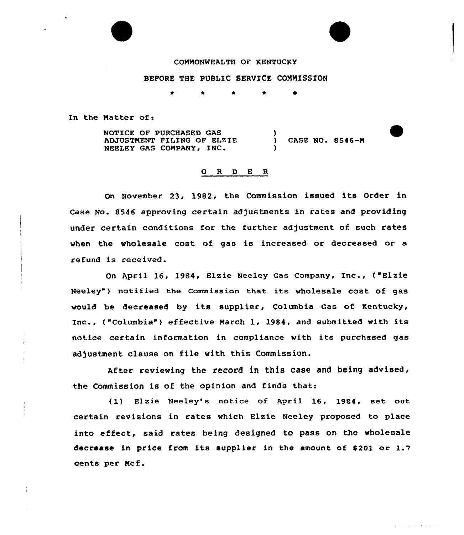## COMMONWEALTH OF KENTUCKY

## SEFORE THE PUBLIC SERVICE COMMISSION

\* \* \* \*

In the Matter of:

NOTICE OF PURCHASED GAS ADJVSTNENT FILING OF ELZIE NEELEY GAS COMPANY, INC. ) CASE NO. 8546-M )

## ORDER

On November 23, 1982, the Commission issued its Order in Case No. 8546 approving certain adjustments in rates and providing under certain conditions for the further adjustment of such rates when the wholesale cost of gas is increased or decreased or a refund is received.

On April 16, 1984, Elzie Neeley Gas Company, Inc., ("Elzie Neeley") notified the Commission that its wholesale cost of gas would be decreased by its supplier, Columbia Gas of Kentucky, Inc., ("Columbia") effective March 1, 1984, and submitted with its notice certain information in compliance with its purchased gas adjustment clause on file with this Commission.

After reviewing the record in this case and being advised, the Commission is of the opinion and finds that:

(1) Elzie Neeley's notice of April 16, 1984, set out certain revisions in rates which Elzie Neeley proposed to place into effect, said rates being designed to pass on the wholesale decrease in price from its supplier in the amount of \$201 or 1.7 cents per Mcf.

and the state of the state of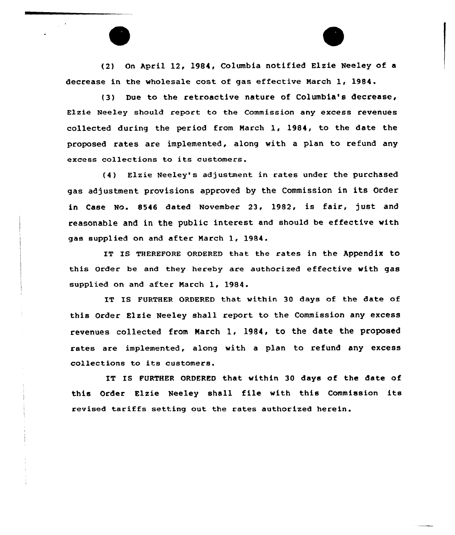(2) On April 12, 1984, Columbia notified Elzie Neeley of a decrease in the wholesale cost of gas effective March 1, 1984.

{3) Due to the retroactive nature of Columbia's decrease, Elzie Neeley should report to the Commission any excess revenues collected during the period from March 1, 1984, to the date the proposed rates are implemented, along with a plan to refund any excess collections to its customers.

(4) Elzie Neeley's adjustment in rates under the purchased gas adjustment provisions approved by the Commission in its Order in Case No. 8546 dated November 23, 1982, is fair, just and reasonable and in the public interest and should be effective with gas supplied on and after March 1, 1984.

IT IS THEREFORE ORDERED that the rates in the Appendix to this Order be and they hereby are authorized effective with gas supplied on and after March 1, 1984.

IT IS FURTHER ORDERED that within 30 days of the date of this Order Elzie Neeley shall report to the Commission any excess revenues collected from N{arch 1, 1984, to the date the proposed rates are implemented, along with a plan to refund any excess collections to its customers.

IT IS FURTHER ORDERED that within 30 days of the date of this Order Elzie Neeley shell file with this Commission its revised tariffs setting out the rates authorized herein.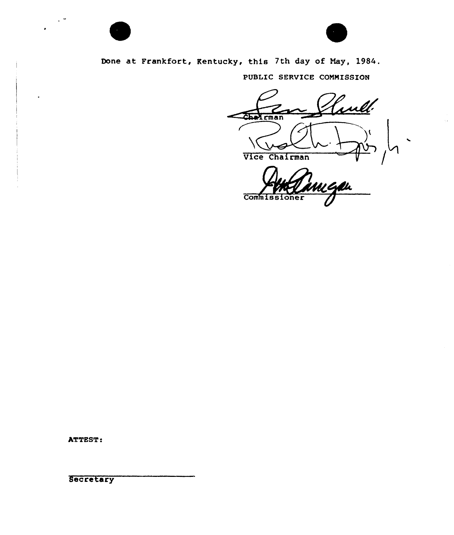

 $\sim$   $^{\circ}$ 



Done at Frankfort, Kentucky, this 7th day of Nay, 1984.

PUBLIC SERVICE COMMISSION

<u>sull</u> Chairman Vice Chairman / <u>W</u>GAL Commissioner

ATTEST:

Secretary